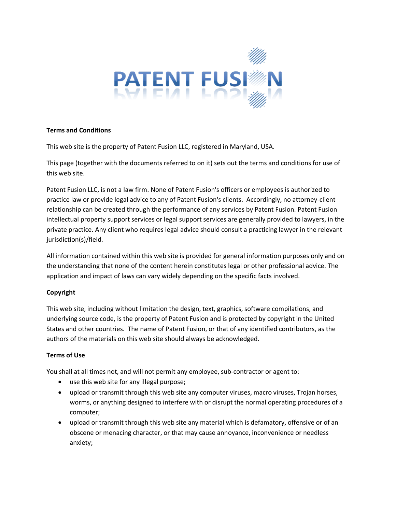

## **Terms and Conditions**

This web site is the property of Patent Fusion LLC, registered in Maryland, USA.

This page (together with the documents referred to on it) sets out the terms and conditions for use of this web site.

Patent Fusion LLC, is not a law firm. None of Patent Fusion's officers or employees is authorized to practice law or provide legal advice to any of Patent Fusion's clients. Accordingly, no attorney-client relationship can be created through the performance of any services by Patent Fusion. Patent Fusion intellectual property support services or legal support services are generally provided to lawyers, in the private practice. Any client who requires legal advice should consult a practicing lawyer in the relevant jurisdiction(s)/field.

All information contained within this web site is provided for general information purposes only and on the understanding that none of the content herein constitutes legal or other professional advice. The application and impact of laws can vary widely depending on the specific facts involved.

# **Copyright**

This web site, including without limitation the design, text, graphics, software compilations, and underlying source code, is the property of Patent Fusion and is protected by copyright in the United States and other countries. The name of Patent Fusion, or that of any identified contributors, as the authors of the materials on this web site should always be acknowledged.

# **Terms of Use**

You shall at all times not, and will not permit any employee, sub-contractor or agent to:

- use this web site for any illegal purpose;
- upload or transmit through this web site any computer viruses, macro viruses, Trojan horses, worms, or anything designed to interfere with or disrupt the normal operating procedures of a computer;
- upload or transmit through this web site any material which is defamatory, offensive or of an obscene or menacing character, or that may cause annoyance, inconvenience or needless anxiety;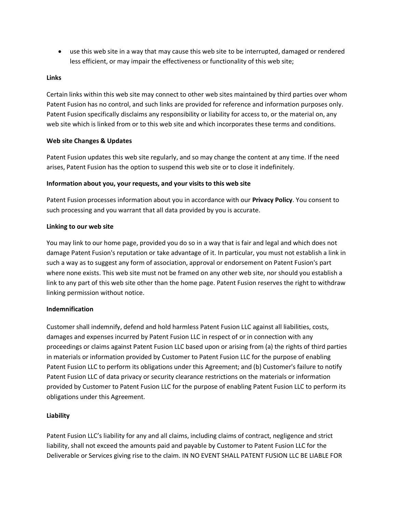• use this web site in a way that may cause this web site to be interrupted, damaged or rendered less efficient, or may impair the effectiveness or functionality of this web site;

### **Links**

Certain links within this web site may connect to other web sites maintained by third parties over whom Patent Fusion has no control, and such links are provided for reference and information purposes only. Patent Fusion specifically disclaims any responsibility or liability for access to, or the material on, any web site which is linked from or to this web site and which incorporates these terms and conditions.

## **Web site Changes & Updates**

Patent Fusion updates this web site regularly, and so may change the content at any time. If the need arises, Patent Fusion has the option to suspend this web site or to close it indefinitely.

## **Information about you, your requests, and your visits to this web site**

Patent Fusion processes information about you in accordance with our **Privacy Policy**. You consent to such processing and you warrant that all data provided by you is accurate.

## **Linking to our web site**

You may link to our home page, provided you do so in a way that is fair and legal and which does not damage Patent Fusion's reputation or take advantage of it. In particular, you must not establish a link in such a way as to suggest any form of association, approval or endorsement on Patent Fusion's part where none exists. This web site must not be framed on any other web site, nor should you establish a link to any part of this web site other than the home page. Patent Fusion reserves the right to withdraw linking permission without notice.

# **Indemnification**

Customer shall indemnify, defend and hold harmless Patent Fusion LLC against all liabilities, costs, damages and expenses incurred by Patent Fusion LLC in respect of or in connection with any proceedings or claims against Patent Fusion LLC based upon or arising from (a) the rights of third parties in materials or information provided by Customer to Patent Fusion LLC for the purpose of enabling Patent Fusion LLC to perform its obligations under this Agreement; and (b) Customer's failure to notify Patent Fusion LLC of data privacy or security clearance restrictions on the materials or information provided by Customer to Patent Fusion LLC for the purpose of enabling Patent Fusion LLC to perform its obligations under this Agreement.

# **Liability**

Patent Fusion LLC's liability for any and all claims, including claims of contract, negligence and strict liability, shall not exceed the amounts paid and payable by Customer to Patent Fusion LLC for the Deliverable or Services giving rise to the claim. IN NO EVENT SHALL PATENT FUSION LLC BE LIABLE FOR